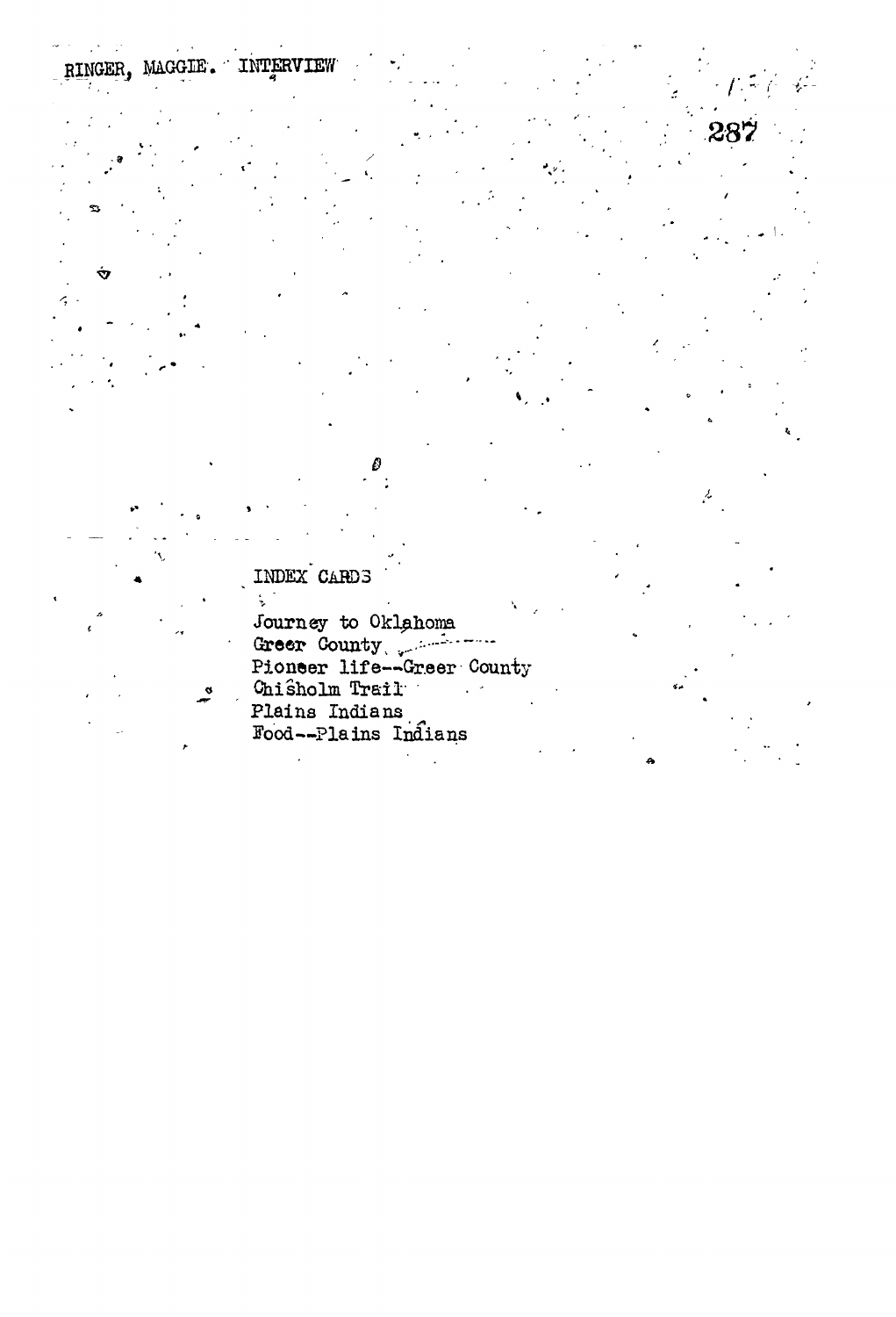INDEX CARDS

 $\ddot{x}$ 

INTERVIEW

RINGER. MAGGIE.

Ý

Journey to Oklahoma<br>Greer County<br>Pioneer life--Greer County Chisholm Trail  $\sim$  10  $\mu$ Plains Indians<br>Food--Plains Indians

پر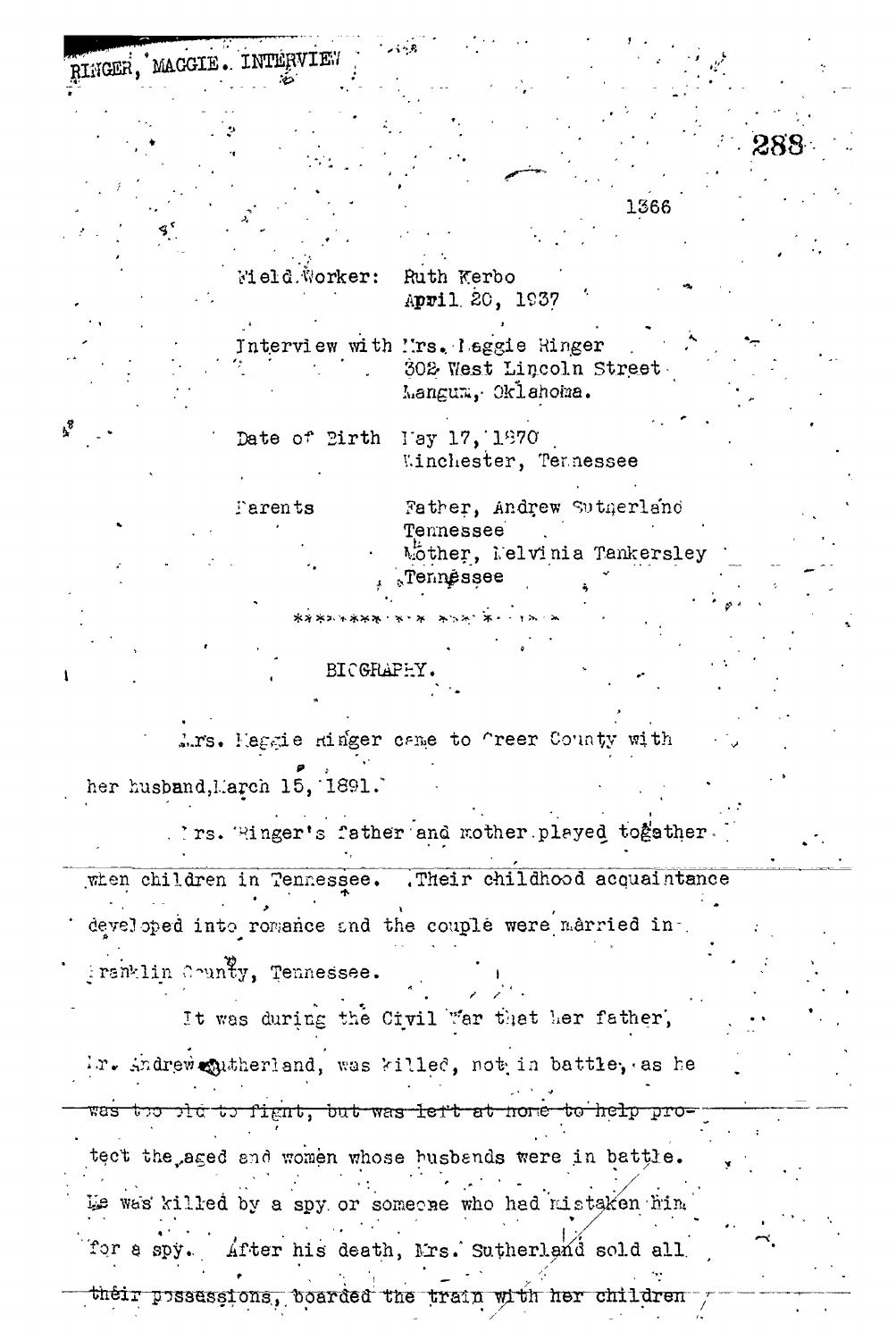RINGER. MACGIE . INTERVIEW

 $\mathbf{r}^3$ 

Field Worker: Ruth Kerbo April 20, 1937

Interview with ''rs. Laggie Ringer 302 West Lincoln Street Mangum, Oklahoma.

Date of Birth Tay 17, 1870 Winchester, Tennessee

Father, Andrew Sutgerland Tarents Tennessee Mother, Nelvinia Tankersley Tennéssee

1366

**BICGRAPEY** 

\*\*\*\*\*\*\*\*

Ars. Maggie Hinger came to freer County with her husband, March 15, 1891.

. Ins. Ringer's father and mother played together.

. Their childhood acquaintance when children in Tennessee. developed into romance and the couple were married in-Franklin County, Tennessee.

It was during the Civil "ar that her father, ir. Andrew qutheriand, was killed, not in battle, as he the plate fight, but was left at home to help prowastect the aged and women whose busbands were in battle. We was killed by a spy or someone who had mistaken him After his death, Mrs. Sutherland sold all for a spy. their possessions, boarded the train with her children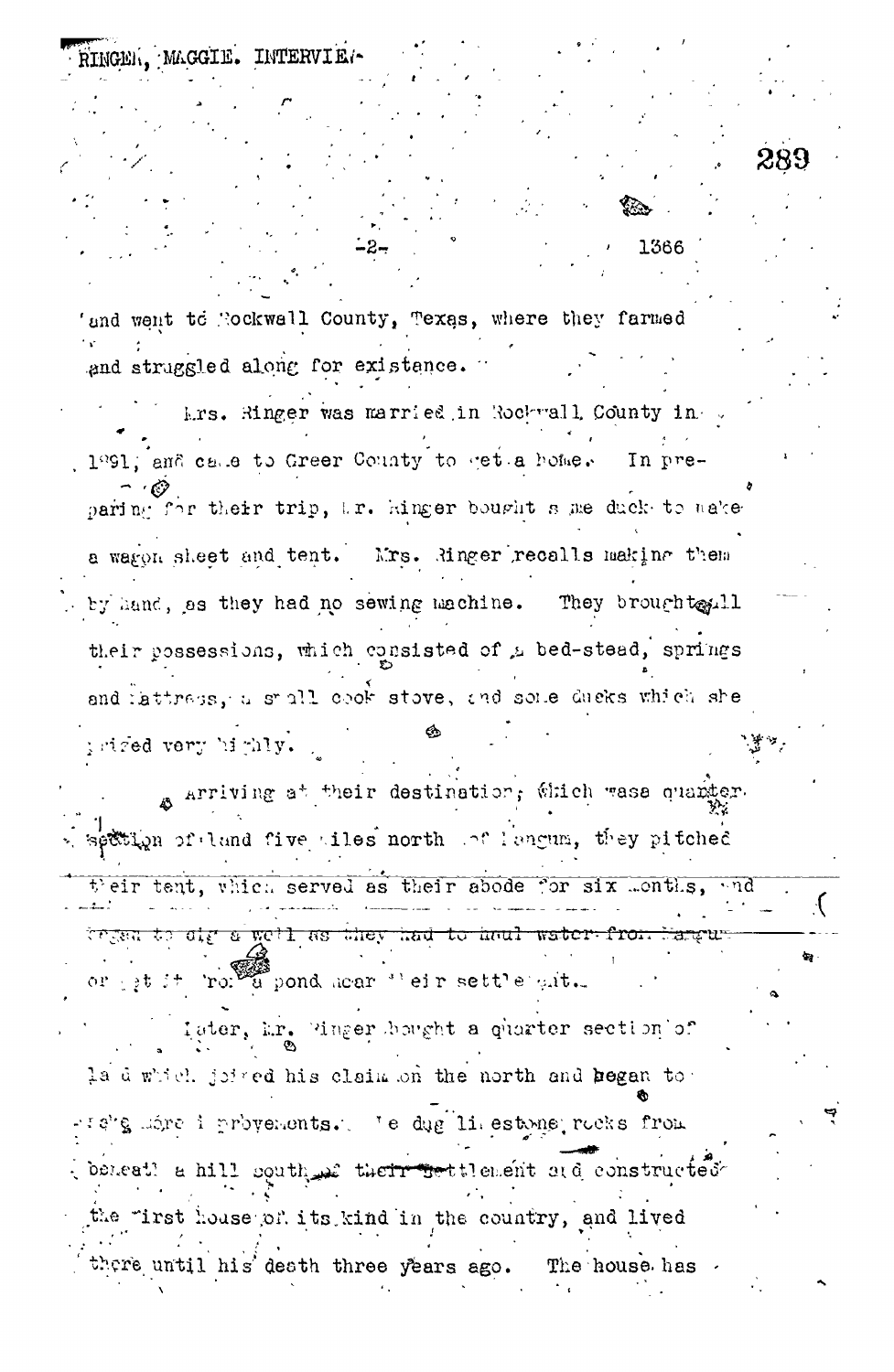RINGEN, MAGGIE. INTERVIE. 1366 'and went to Nockwall County, Texas, where they farmed and struggled along for existence. krs. Ringer was married in Rockwall County in 1º91; and calle to Greer County to get a home. In preparing for their trip, i.r. hinger bought s me duck to nake a warpn sheet and tent. Mrs. Ringer recalls making them by hand, as they had no sewing machine. They broughteril their possessions, which consisted of a bed-stead, springs and lattraps, a small cook stove, and some ducks which she triged very highly. Arriving at their destination, which wasa quarker. settion of land five tiles north of lengum, they pitched their tent, which served as their abode for six Lonths, and trysn to dig a well as they had to haul water from or get it ror a pond hear "eir settle git. later, Er. Pinger bought a quarter section of la d which joined his claim on the north and began to: -te's lime i provements. Te dug liestone rocks from beneat a hill south a therrestilenent and constructed the "irst house of its kind in the country, and lived there until his death three years ago. The house has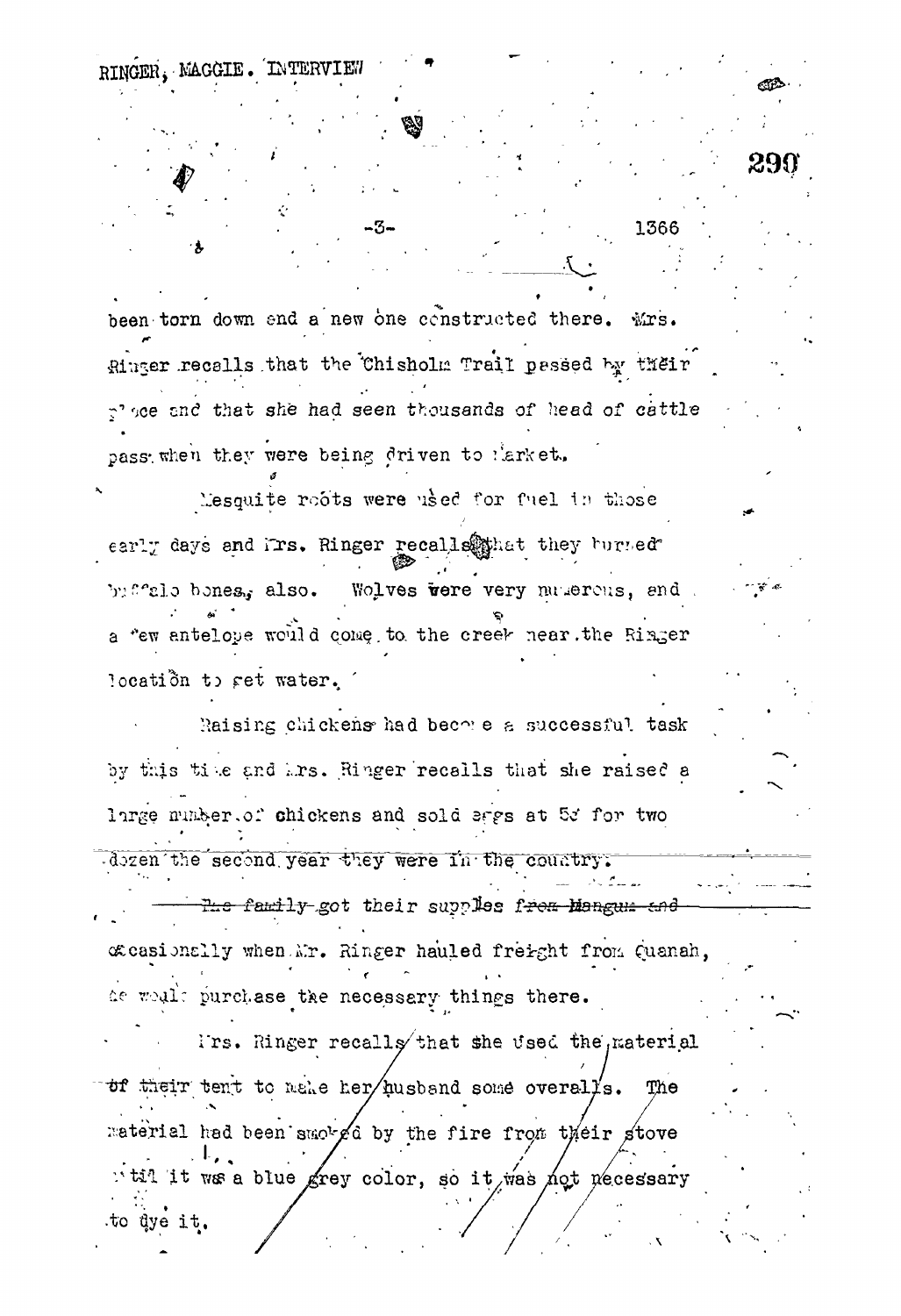heen torn down and a new one constructed there. Mrs. Ringer recalls that the Chisholm Trail passed by their p' see and that she had seen thousands of head of cattle pass when they were being driven to larket.

1366

RINGER. MAGGIE. INTERVIEW

Mesquite roots were used for fuel in those early days and irs. Ringer recalls they have detected Wolves were very numerous, and by field bones. also. a "ew antelope would come to the creek near the Ringer location to get water.

Raising chickens had become a successful task by this time and hrs. Ringer recalls that she raised a large munber.of chickens and sold sags at 5d for two dozen the second year they were in the country.

<del>The family</del> got their supplies from Mangum and coasionally when Mr. Ringer hauled freight from Quanah, de would purchase the necessary things there.

I'rs. Ringer recalls that she used the naterial of their tent to make her husband some overalls. The material had been smoked by the fire from their stove "til it ws a blue grey color, so it was not necessary to dye it.